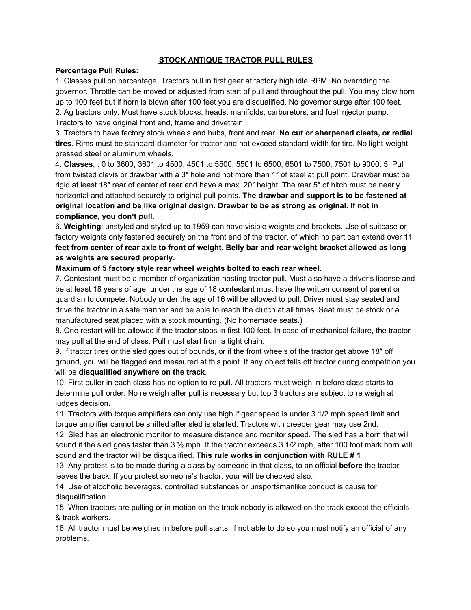## **STOCK ANTIQUE TRACTOR PULL RULES**

## **Percentage Pull Rules:**

1. Classes pull on percentage. Tractors pull in first gear at factory high idle RPM. No overriding the governor. Throttle can be moved or adjusted from start of pull and throughout the pull. You may blow horn up to 100 feet but if horn is blown after 100 feet you are disqualified. No governor surge after 100 feet. 2. Ag tractors only. Must have stock blocks, heads, manifolds, carburetors, and fuel injector pump. Tractors to have original front end, frame and drivetrain .

3. Tractors to have factory stock wheels and hubs, front and rear. **No cut or sharpened cleats, or radial tires**. Rims must be standard diameter for tractor and not exceed standard width for tire. No light-weight pressed steel or aluminum wheels.

4. **Classes**, : 0 to 3600, 3601 to 4500, 4501 to 5500, 5501 to 6500, 6501 to 7500, 7501 to 9000. 5. Pull from twisted clevis or drawbar with a 3″ hole and not more than 1″ of steel at pull point. Drawbar must be rigid at least 18″ rear of center of rear and have a max. 20″ height. The rear 5″ of hitch must be nearly horizontal and attached securely to original pull points. **The drawbar and support is to be fastened at original location and be like original design. Drawbar to be as strong as original. If not in compliance, you don't pull.**

6. **Weighting**: unstyled and styled up to 1959 can have visible weights and brackets. Use of suitcase or factory weights only fastened securely on the front end of the tractor, of which no part can extend over **11** feet from center of rear axle to front of weight. Belly bar and rear weight bracket allowed as long **as weights are secured properly.**

## **Maximum of 5 factory style rear wheel weights bolted to each rear wheel.**

7. Contestant must be a member of organization hosting tractor pull. Must also have a driver's license and be at least 18 years of age, under the age of 18 contestant must have the written consent of parent or guardian to compete. Nobody under the age of 16 will be allowed to pull. Driver must stay seated and drive the tractor in a safe manner and be able to reach the clutch at all times. Seat must be stock or a manufactured seat placed with a stock mounting. (No homemade seats.)

8. One restart will be allowed if the tractor stops in first 100 feet. In case of mechanical failure, the tractor may pull at the end of class. Pull must start from a tight chain.

9. If tractor tires or the sled goes out of bounds, or if the front wheels of the tractor get above 18″ off ground, you will be flagged and measured at this point. If any object falls off tractor during competition you will be **disqualified anywhere on the track**.

10. First puller in each class has no option to re pull. All tractors must weigh in before class starts to determine pull order. No re weigh after pull is necessary but top 3 tractors are subject to re weigh at judges decision.

11. Tractors with torque amplifiers can only use high if gear speed is under 3 1/2 mph speed limit and torque amplifier cannot be shifted after sled is started. Tractors with creeper gear may use 2nd.

12. Sled has an electronic monitor to measure distance and monitor speed. The sled has a horn that will sound if the sled goes faster than  $3\frac{1}{2}$  mph. If the tractor exceeds 3 1/2 mph, after 100 foot mark horn will sound and the tractor will be disqualified. **This rule works in conjunction with RULE # 1**

13. Any protest is to be made during a class by someone in that class, to an official **before** the tractor leaves the track. If you protest someone's tractor, your will be checked also.

14. Use of alcoholic beverages, controlled substances or unsportsmanlike conduct is cause for disqualification.

15. When tractors are pulling or in motion on the track nobody is allowed on the track except the officials & track workers.

16. All tractor must be weighed in before pull starts, if not able to do so you must notify an official of any problems.